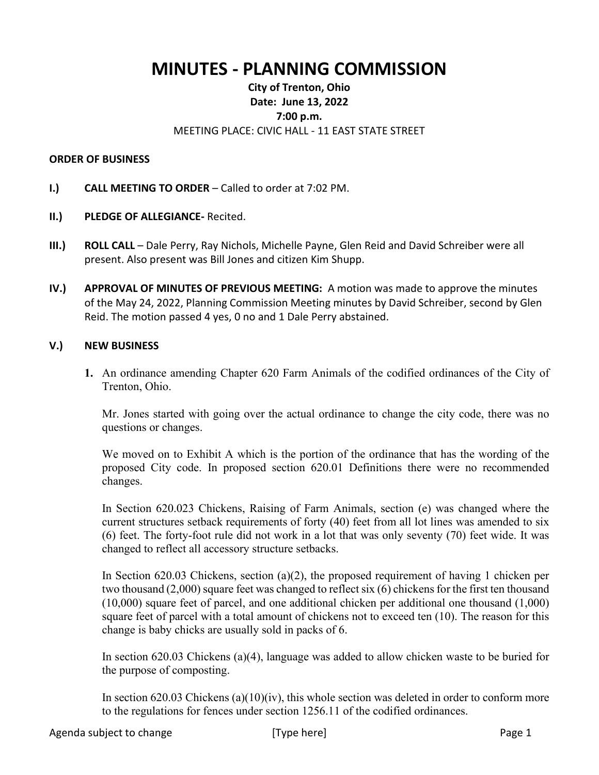# **MINUTES - PLANNING COMMISSION**

## **City of Trenton, Ohio Date: June 13, 2022 7:00 p.m.** MEETING PLACE: CIVIC HALL - 11 EAST STATE STREET

#### **ORDER OF BUSINESS**

- **I.) CALL MEETING TO ORDER** Called to order at 7:02 PM.
- **II.) PLEDGE OF ALLEGIANCE-** Recited.
- **III.) ROLL CALL** Dale Perry, Ray Nichols, Michelle Payne, Glen Reid and David Schreiber were all present. Also present was Bill Jones and citizen Kim Shupp.
- **IV.) APPROVAL OF MINUTES OF PREVIOUS MEETING:** A motion was made to approve the minutes of the May 24, 2022, Planning Commission Meeting minutes by David Schreiber, second by Glen Reid. The motion passed 4 yes, 0 no and 1 Dale Perry abstained.

#### **V.) NEW BUSINESS**

**1.** An ordinance amending Chapter 620 Farm Animals of the codified ordinances of the City of Trenton, Ohio.

Mr. Jones started with going over the actual ordinance to change the city code, there was no questions or changes.

We moved on to Exhibit A which is the portion of the ordinance that has the wording of the proposed City code. In proposed section 620.01 Definitions there were no recommended changes.

In Section 620.023 Chickens, Raising of Farm Animals, section (e) was changed where the current structures setback requirements of forty (40) feet from all lot lines was amended to six (6) feet. The forty-foot rule did not work in a lot that was only seventy (70) feet wide. It was changed to reflect all accessory structure setbacks.

In Section 620.03 Chickens, section (a)(2), the proposed requirement of having 1 chicken per two thousand (2,000) square feet was changed to reflect six (6) chickens for the first ten thousand (10,000) square feet of parcel, and one additional chicken per additional one thousand (1,000) square feet of parcel with a total amount of chickens not to exceed ten (10). The reason for this change is baby chicks are usually sold in packs of 6.

In section 620.03 Chickens (a)(4), language was added to allow chicken waste to be buried for the purpose of composting.

In section 620.03 Chickens  $(a)(10)(iv)$ , this whole section was deleted in order to conform more to the regulations for fences under section 1256.11 of the codified ordinances.